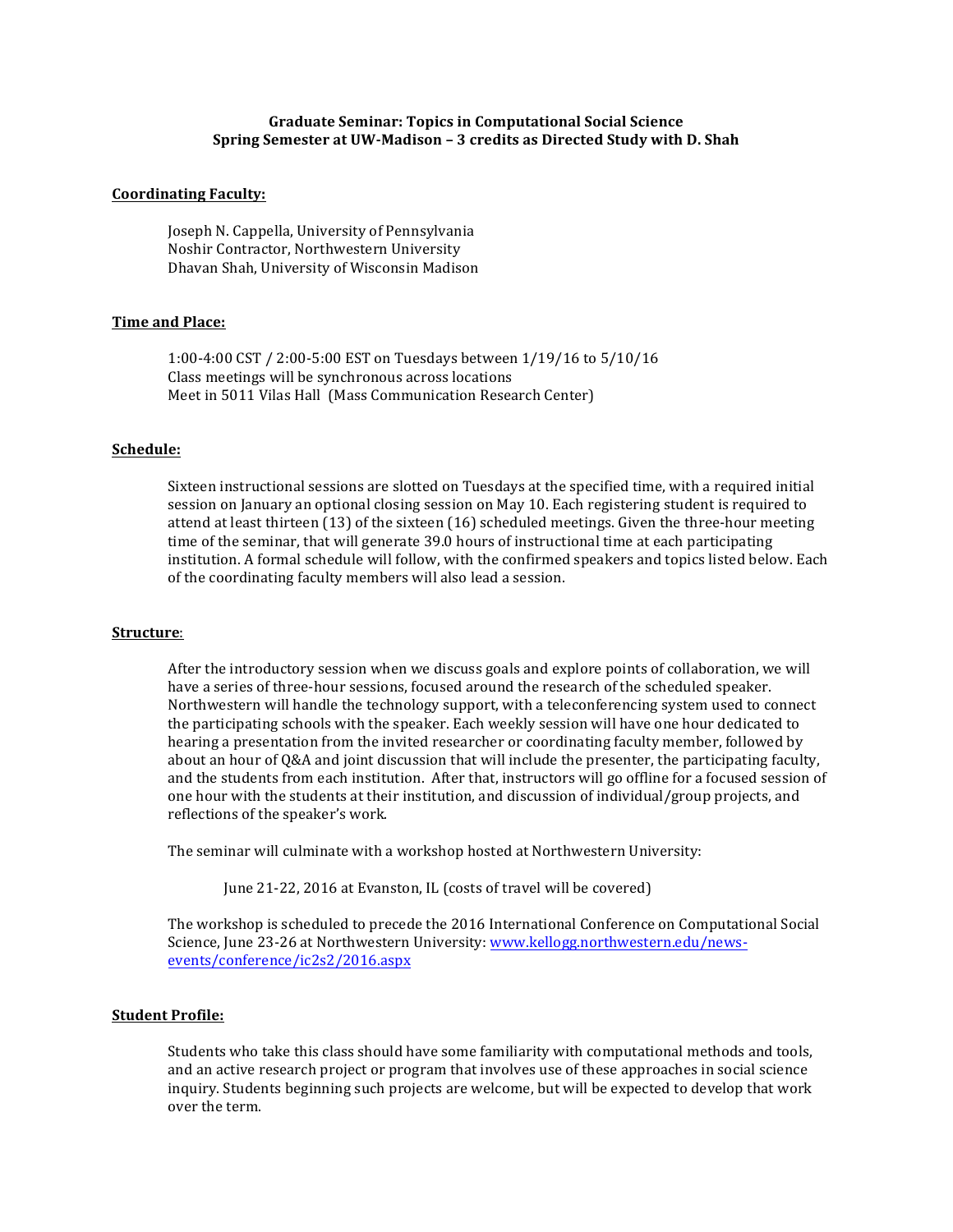# **Graduate Seminar: Topics in Computational Social Science Spring Semester at UW-Madison - 3 credits as Directed Study with D. Shah**

## **Coordinating Faculty:**

Joseph N. Cappella, University of Pennsylvania Noshir Contractor, Northwestern University Dhavan Shah, University of Wisconsin Madison

# **Time and Place:**

1:00-4:00 CST / 2:00-5:00 EST on Tuesdays between 1/19/16 to 5/10/16 Class meetings will be synchronous across locations Meet in 5011 Vilas Hall (Mass Communication Research Center)

## **Schedule:**

Sixteen instructional sessions are slotted on Tuesdays at the specified time, with a required initial session on January an optional closing session on May 10. Each registering student is required to attend at least thirteen  $(13)$  of the sixteen  $(16)$  scheduled meetings. Given the three-hour meeting time of the seminar, that will generate 39.0 hours of instructional time at each participating institution. A formal schedule will follow, with the confirmed speakers and topics listed below. Each of the coordinating faculty members will also lead a session.

# **Structure**:

After the introductory session when we discuss goals and explore points of collaboration, we will have a series of three-hour sessions, focused around the research of the scheduled speaker. Northwestern will handle the technology support, with a teleconferencing system used to connect the participating schools with the speaker. Each weekly session will have one hour dedicated to hearing a presentation from the invited researcher or coordinating faculty member, followed by about an hour of Q&A and joint discussion that will include the presenter, the participating faculty, and the students from each institution. After that, instructors will go offline for a focused session of one hour with the students at their institution, and discussion of individual/group projects, and reflections of the speaker's work.

The seminar will culminate with a workshop hosted at Northwestern University:

June 21-22, 2016 at Evanston, IL (costs of travel will be covered)

The workshop is scheduled to precede the 2016 International Conference on Computational Social Science, June 23-26 at Northwestern University: www.kellogg.northwestern.edu/newsevents/conference/ic2s2/2016.aspx

## **Student Profile:**

Students who take this class should have some familiarity with computational methods and tools, and an active research project or program that involves use of these approaches in social science inquiry. Students beginning such projects are welcome, but will be expected to develop that work over the term.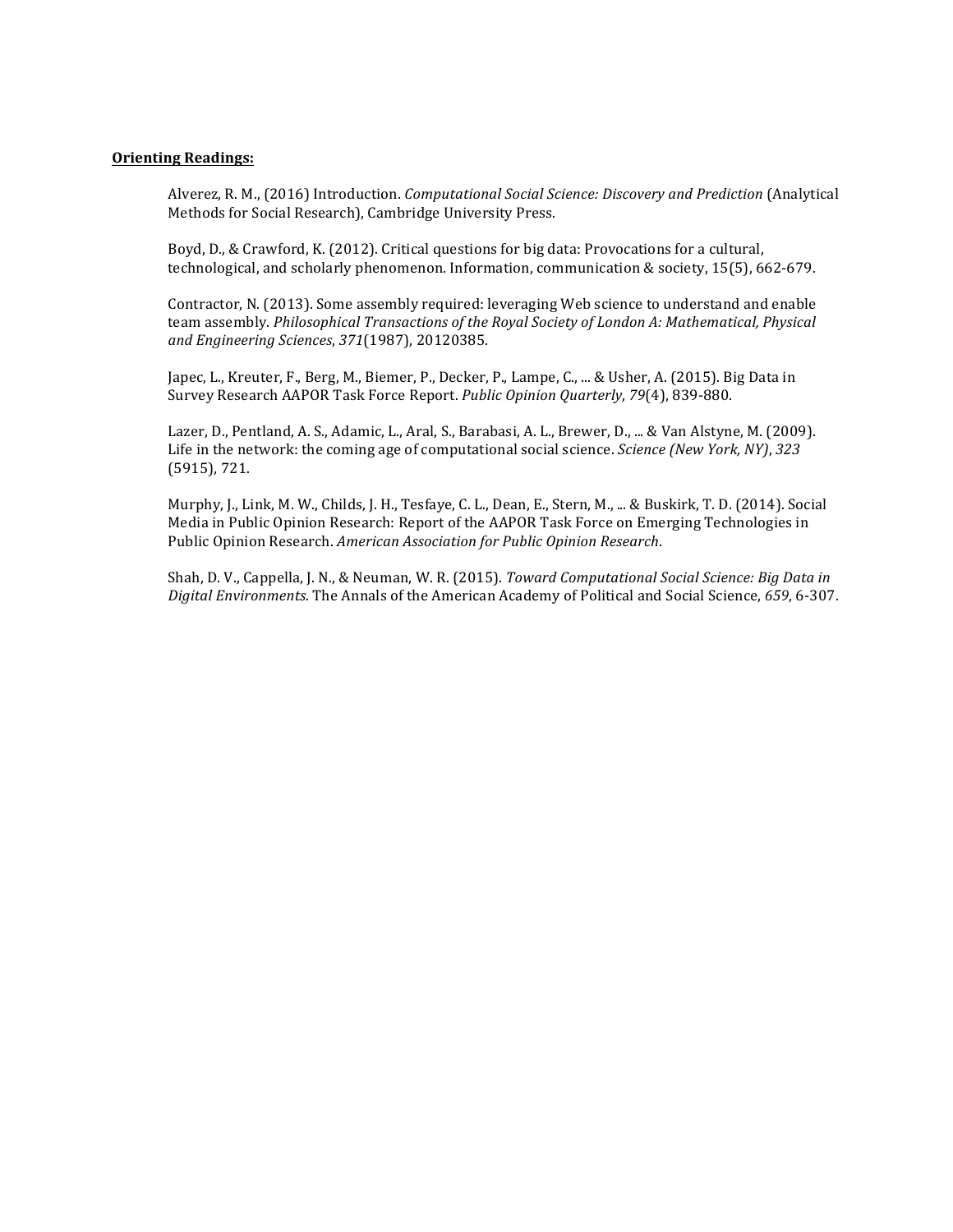# **Orienting Readings:**

Alverez, R. M., (2016) Introduction. *Computational Social Science: Discovery and Prediction* (Analytical Methods for Social Research), Cambridge University Press.

Boyd, D., & Crawford, K. (2012). Critical questions for big data: Provocations for a cultural, technological, and scholarly phenomenon. Information, communication & society, 15(5), 662-679.

Contractor, N. (2013). Some assembly required: leveraging Web science to understand and enable team assembly. *Philosophical Transactions of the Royal Society of London A: Mathematical, Physical and Engineering Sciences*, *371*(1987), 20120385.

Japec, L., Kreuter, F., Berg, M., Biemer, P., Decker, P., Lampe, C., ... & Usher, A. (2015). Big Data in Survey Research AAPOR Task Force Report. *Public Opinion Quarterly*, *79*(4), 839-880.

Lazer, D., Pentland, A. S., Adamic, L., Aral, S., Barabasi, A. L., Brewer, D., ... & Van Alstyne, M. (2009). Life in the network: the coming age of computational social science. *Science* (New York, NY), 323  $(5915)$ , 721.

Murphy, J., Link, M. W., Childs, J. H., Tesfaye, C. L., Dean, E., Stern, M., ... & Buskirk, T. D. (2014). Social Media in Public Opinion Research: Report of the AAPOR Task Force on Emerging Technologies in Public Opinion Research. *American Association for Public Opinion Research.* 

Shah, D. V., Cappella, J. N., & Neuman, W. R. (2015). *Toward Computational Social Science: Big Data in Digital Environments*. The Annals of the American Academy of Political and Social Science, *659*, 6-307.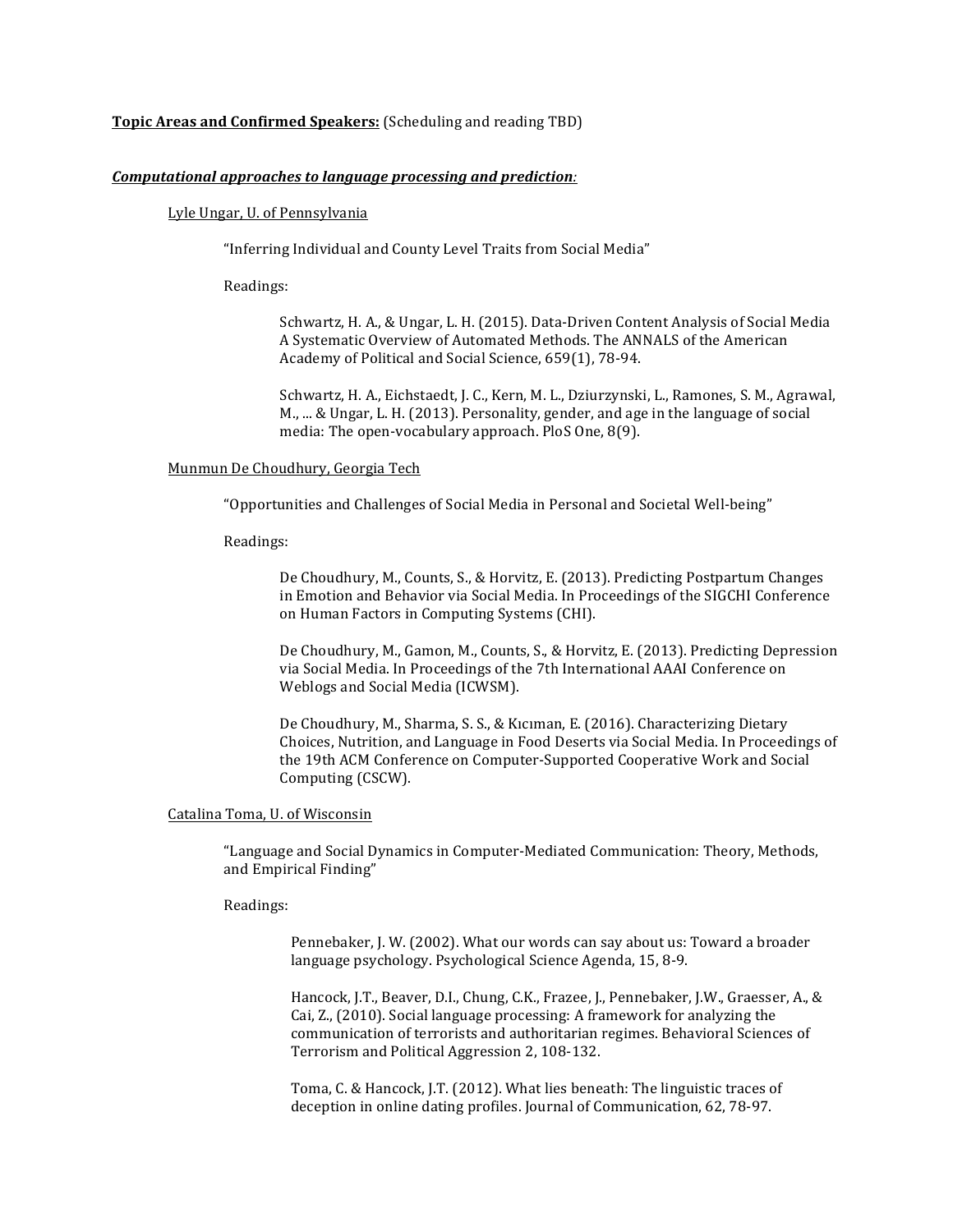# **Topic Areas and Confirmed Speakers:** (Scheduling and reading TBD)

# *Computational approaches to language processing and prediction:*

# Lyle Ungar, U. of Pennsylvania

"Inferring Individual and County Level Traits from Social Media"

Readings:

Schwartz, H. A., & Ungar, L. H. (2015). Data-Driven Content Analysis of Social Media A Systematic Overview of Automated Methods. The ANNALS of the American Academy of Political and Social Science, 659(1), 78-94.

Schwartz, H. A., Eichstaedt, J. C., Kern, M. L., Dziurzynski, L., Ramones, S. M., Agrawal, M., ... & Ungar, L. H. (2013). Personality, gender, and age in the language of social media: The open-vocabulary approach. PloS One, 8(9).

#### Munmun De Choudhury, Georgia Tech

"Opportunities and Challenges of Social Media in Personal and Societal Well-being"

#### Readings:

De Choudhury, M., Counts, S., & Horvitz, E. (2013). Predicting Postpartum Changes in Emotion and Behavior via Social Media. In Proceedings of the SIGCHI Conference on Human Factors in Computing Systems (CHI).

De Choudhury, M., Gamon, M., Counts, S., & Horvitz, E. (2013). Predicting Depression via Social Media. In Proceedings of the 7th International AAAI Conference on Weblogs and Social Media (ICWSM).

De Choudhury, M., Sharma, S. S., & Kiciman, E. (2016). Characterizing Dietary Choices, Nutrition, and Language in Food Deserts via Social Media. In Proceedings of the 19th ACM Conference on Computer-Supported Cooperative Work and Social Computing (CSCW).

# Catalina Toma, U. of Wisconsin

"Language and Social Dynamics in Computer-Mediated Communication: Theory, Methods, and Empirical Finding"

# Readings:

Pennebaker, J. W. (2002). What our words can say about us: Toward a broader language psychology. Psychological Science Agenda, 15, 8-9.

Hancock, J.T., Beaver, D.I., Chung, C.K., Frazee, J., Pennebaker, J.W., Graesser, A., & Cai, Z., (2010). Social language processing: A framework for analyzing the communication of terrorists and authoritarian regimes. Behavioral Sciences of Terrorism and Political Aggression 2, 108-132.

Toma, C. & Hancock, J.T. (2012). What lies beneath: The linguistic traces of deception in online dating profiles. Journal of Communication, 62, 78-97.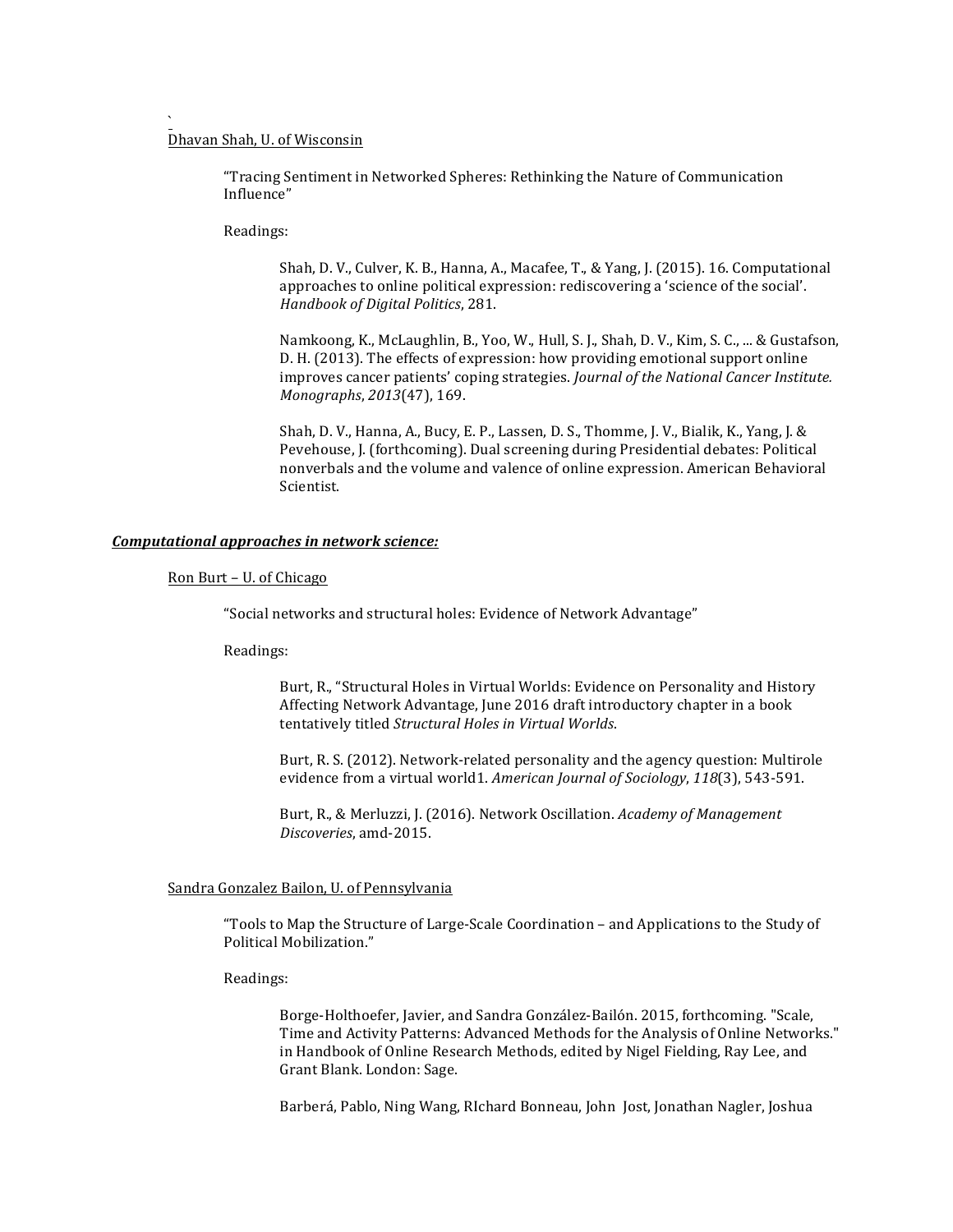# Dhavan Shah, U. of Wisconsin

`

"Tracing Sentiment in Networked Spheres: Rethinking the Nature of Communication Influence"

Readings:

Shah, D. V., Culver, K. B., Hanna, A., Macafee, T., & Yang, J. (2015). 16. Computational approaches to online political expression: rediscovering a 'science of the social'. *Handbook of Digital Politics*, 281.

Namkoong, K., McLaughlin, B., Yoo, W., Hull, S. J., Shah, D. V., Kim, S. C., ... & Gustafson, D. H. (2013). The effects of expression: how providing emotional support online improves cancer patients' coping strategies. *Journal of the National Cancer Institute. Monographs*, 2013(47), 169.

Shah, D. V., Hanna, A., Bucy, E. P., Lassen, D. S., Thomme, J. V., Bialik, K., Yang, J. & Pevehouse, J. (forthcoming). Dual screening during Presidential debates: Political nonverbals and the volume and valence of online expression. American Behavioral Scientist. 

#### *Computational approaches in network science:*

#### Ron Burt - U. of Chicago

"Social networks and structural holes: Evidence of Network Advantage"

Readings:

Burt, R., "Structural Holes in Virtual Worlds: Evidence on Personality and History Affecting Network Advantage, June 2016 draft introductory chapter in a book tentatively titled *Structural Holes in Virtual Worlds*.

Burt, R. S. (2012). Network-related personality and the agency question: Multirole evidence from a virtual world1. American Journal of Sociology, 118(3), 543-591.

Burt, R., & Merluzzi, J. (2016). Network Oscillation. *Academy of Management Discoveries*, amd-2015.

#### Sandra Gonzalez Bailon, U. of Pennsylvania

"Tools to Map the Structure of Large-Scale Coordination – and Applications to the Study of Political Mobilization."

Readings:

Borge-Holthoefer, Javier, and Sandra González-Bailón. 2015, forthcoming. "Scale, Time and Activity Patterns: Advanced Methods for the Analysis of Online Networks." in Handbook of Online Research Methods, edited by Nigel Fielding, Ray Lee, and Grant Blank. London: Sage.

Barberá, Pablo, Ning Wang, RIchard Bonneau, John Jost, Jonathan Nagler, Joshua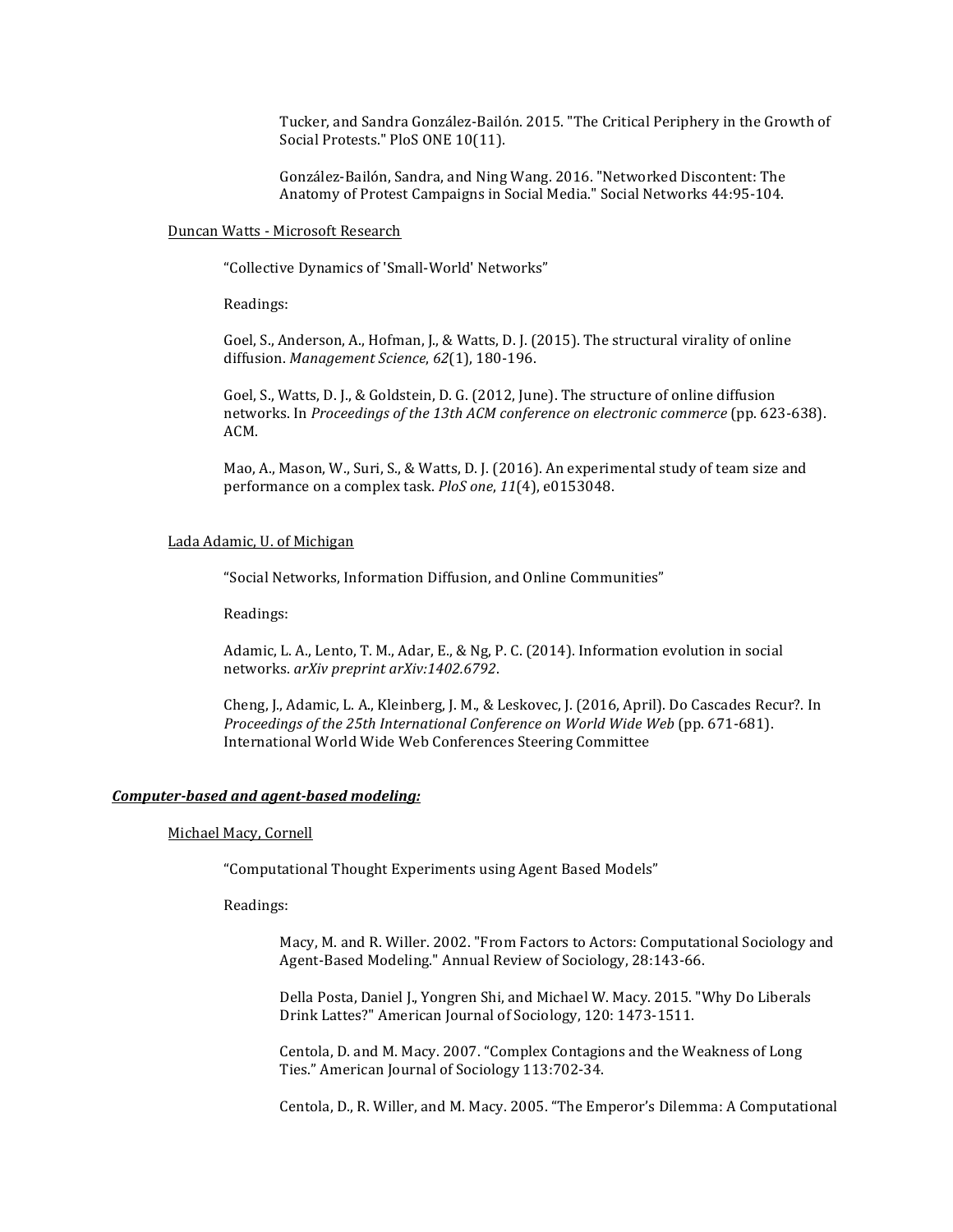Tucker, and Sandra González-Bailón. 2015. "The Critical Periphery in the Growth of Social Protests." PloS ONE 10(11).

González-Bailón, Sandra, and Ning Wang. 2016. "Networked Discontent: The Anatomy of Protest Campaigns in Social Media." Social Networks 44:95-104.

# Duncan Watts - Microsoft Research

"Collective Dynamics of 'Small-World' Networks"

Readings:

Goel, S., Anderson, A., Hofman, J., & Watts, D. J. (2015). The structural virality of online diffusion. Management Science, 62(1), 180-196.

Goel, S., Watts, D. J., & Goldstein, D. G. (2012, June). The structure of online diffusion networks. In *Proceedings of the 13th ACM conference on electronic commerce* (pp. 623-638). ACM.

Mao, A., Mason, W., Suri, S., & Watts, D. J. (2016). An experimental study of team size and performance on a complex task. *PloS one*, 11(4), e0153048.

#### Lada Adamic, U. of Michigan

"Social Networks, Information Diffusion, and Online Communities"

Readings:

Adamic, L. A., Lento, T. M., Adar, E., & Ng, P. C. (2014). Information evolution in social networks. *arXiv preprint arXiv:1402.6792*.

Cheng, J., Adamic, L. A., Kleinberg, J. M., & Leskovec, J. (2016, April). Do Cascades Recur?. In *Proceedings of the 25th International Conference on World Wide Web* (pp. 671-681). International World Wide Web Conferences Steering Committee

# *Computer-based and agent-based modeling:*

# Michael Macy, Cornell

"Computational Thought Experiments using Agent Based Models"

Readings: 

Macy, M. and R. Willer. 2002. "From Factors to Actors: Computational Sociology and Agent-Based Modeling." Annual Review of Sociology, 28:143-66.

Della Posta, Daniel J., Yongren Shi, and Michael W. Macy. 2015. "Why Do Liberals Drink Lattes?" American Journal of Sociology, 120: 1473-1511.

Centola, D. and M. Macy. 2007. "Complex Contagions and the Weakness of Long Ties." American Journal of Sociology 113:702-34.

Centola, D., R. Willer, and M. Macy. 2005. "The Emperor's Dilemma: A Computational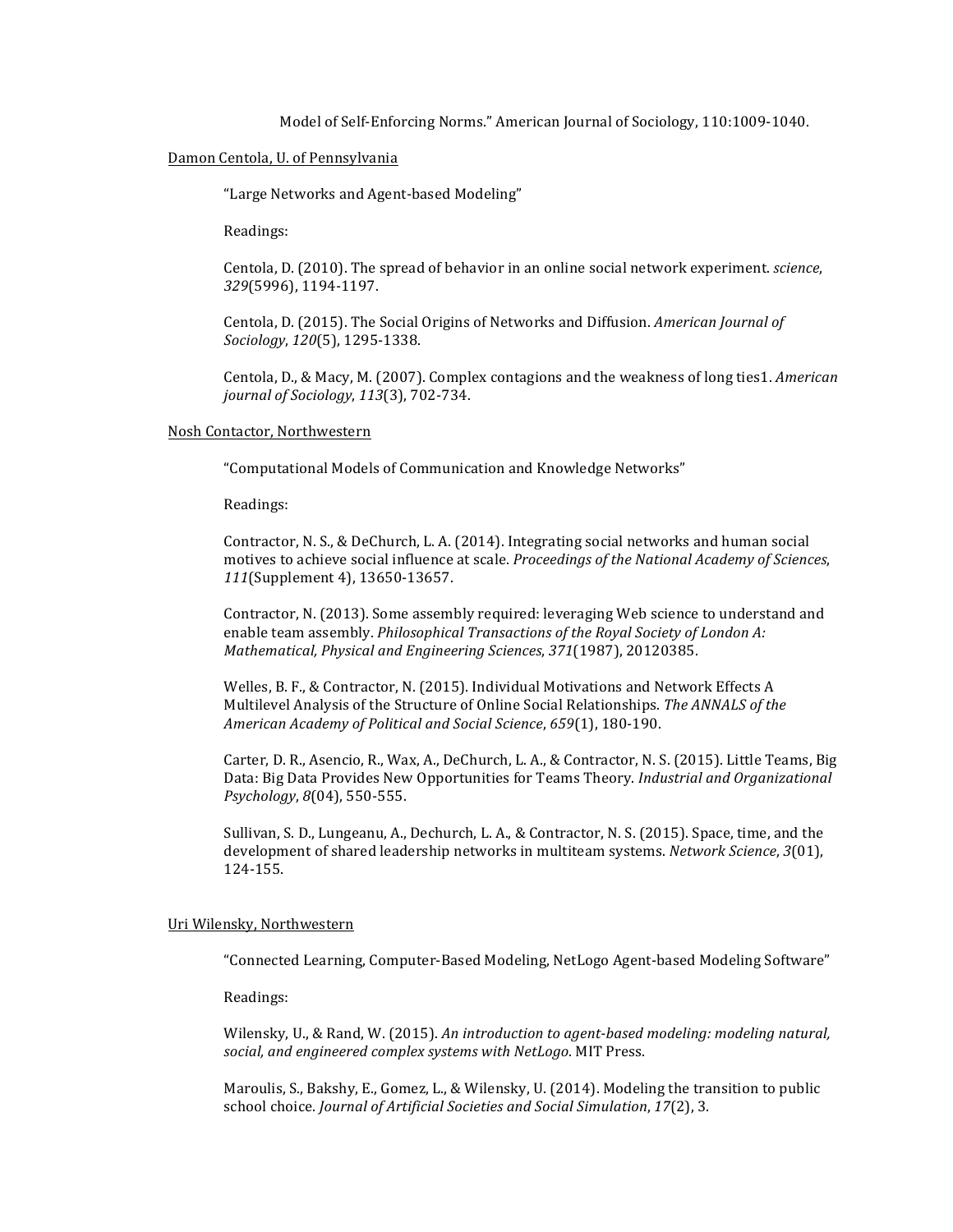Model of Self-Enforcing Norms." American Journal of Sociology, 110:1009-1040.

#### Damon Centola, U. of Pennsylvania

"Large Networks and Agent-based Modeling"

Readings:

Centola, D. (2010). The spread of behavior in an online social network experiment. *science*, *329*(5996), 1194-1197.

Centola, D. (2015). The Social Origins of Networks and Diffusion. *American Journal of Sociology*, *120*(5), 1295-1338.

Centola, D., & Macy, M. (2007). Complex contagions and the weakness of long ties1. *American journal of Sociology*, *113*(3), 702-734.

#### Nosh Contactor, Northwestern

"Computational Models of Communication and Knowledge Networks"

Readings:

Contractor, N. S., & DeChurch, L. A. (2014). Integrating social networks and human social motives to achieve social influence at scale. *Proceedings of the National Academy of Sciences*, *111*(Supplement 4), 13650-13657.

Contractor, N. (2013). Some assembly required: leveraging Web science to understand and enable team assembly. *Philosophical Transactions of the Royal Society of London A: Mathematical, Physical and Engineering Sciences*, *371*(1987), 20120385.

Welles, B. F., & Contractor, N. (2015). Individual Motivations and Network Effects A Multilevel Analysis of the Structure of Online Social Relationships. The ANNALS of the *American Academy of Political and Social Science*, *659*(1), 180-190.

Carter, D. R., Asencio, R., Wax, A., DeChurch, L. A., & Contractor, N. S. (2015). Little Teams, Big Data: Big Data Provides New Opportunities for Teams Theory. *Industrial and Organizational Psychology*, *8*(04), 550-555.

Sullivan, S. D., Lungeanu, A., Dechurch, L. A., & Contractor, N. S. (2015). Space, time, and the development of shared leadership networks in multiteam systems. *Network Science*, 3(01), 124-155.

## Uri Wilensky, Northwestern

"Connected Learning, Computer-Based Modeling, NetLogo Agent-based Modeling Software"

Readings:

Wilensky, U., & Rand, W. (2015). An introduction to agent-based modeling: modeling natural, social, and engineered complex systems with NetLogo. MIT Press.

Maroulis, S., Bakshy, E., Gomez, L., & Wilensky, U. (2014). Modeling the transition to public school choice. *Journal of Artificial Societies and Social Simulation*, 17(2), 3.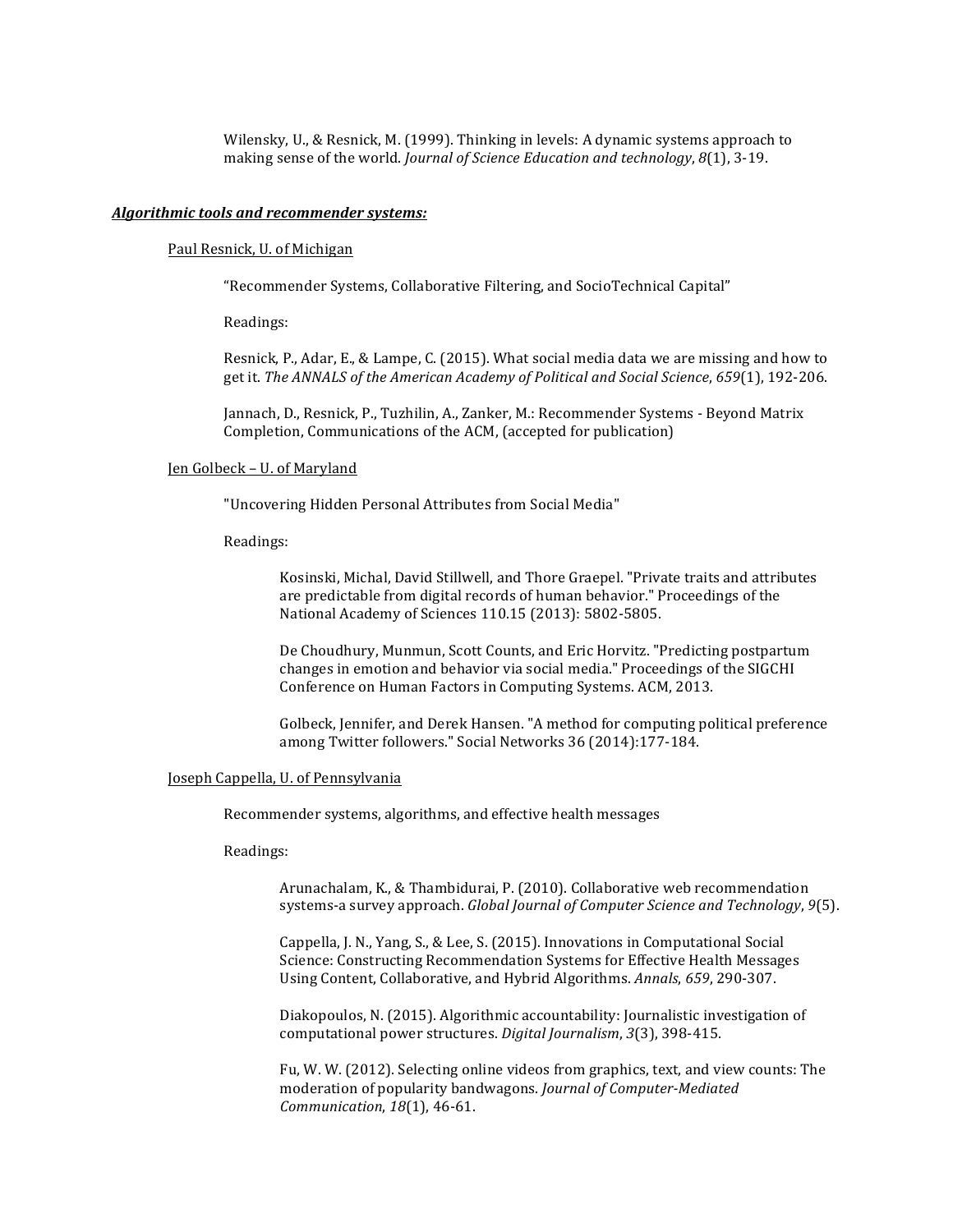Wilensky, U., & Resnick, M. (1999). Thinking in levels: A dynamic systems approach to making sense of the world. *Journal of Science Education and technology*,  $8(1)$ , 3-19.

## Algorithmic tools and recommender systems:

#### Paul Resnick, U. of Michigan

"Recommender Systems, Collaborative Filtering, and SocioTechnical Capital"

Readings:

Resnick, P., Adar, E., & Lampe, C. (2015). What social media data we are missing and how to get it. The ANNALS of the American Academy of Political and Social Science, 659(1), 192-206.

Jannach, D., Resnick, P., Tuzhilin, A., Zanker, M.: Recommender Systems - Beyond Matrix Completion, Communications of the ACM, (accepted for publication)

#### Jen Golbeck – U. of Maryland

"Uncovering Hidden Personal Attributes from Social Media"

Readings:

Kosinski, Michal, David Stillwell, and Thore Graepel. "Private traits and attributes are predictable from digital records of human behavior." Proceedings of the National Academy of Sciences 110.15 (2013): 5802-5805.

De Choudhury, Munmun, Scott Counts, and Eric Horvitz. "Predicting postpartum changes in emotion and behavior via social media." Proceedings of the SIGCHI Conference on Human Factors in Computing Systems. ACM, 2013.

Golbeck, Jennifer, and Derek Hansen. "A method for computing political preference among Twitter followers." Social Networks 36 (2014):177-184.

## Joseph Cappella, U. of Pennsylvania

Recommender systems, algorithms, and effective health messages

Readings:

Arunachalam, K., & Thambidurai, P. (2010). Collaborative web recommendation systems-a survey approach. *Global Journal of Computer Science and Technology*, 9(5).

Cappella, J. N., Yang, S., & Lee, S. (2015). Innovations in Computational Social Science: Constructing Recommendation Systems for Effective Health Messages Using Content, Collaborative, and Hybrid Algorithms. *Annals*, 659, 290-307.

Diakopoulos, N. (2015). Algorithmic accountability: Journalistic investigation of computational power structures. *Digital Journalism*, 3(3), 398-415.

Fu, W. W. (2012). Selecting online videos from graphics, text, and view counts: The moderation of popularity bandwagons. *Journal of Computer-Mediated Communication*,  $18(1)$ , 46-61.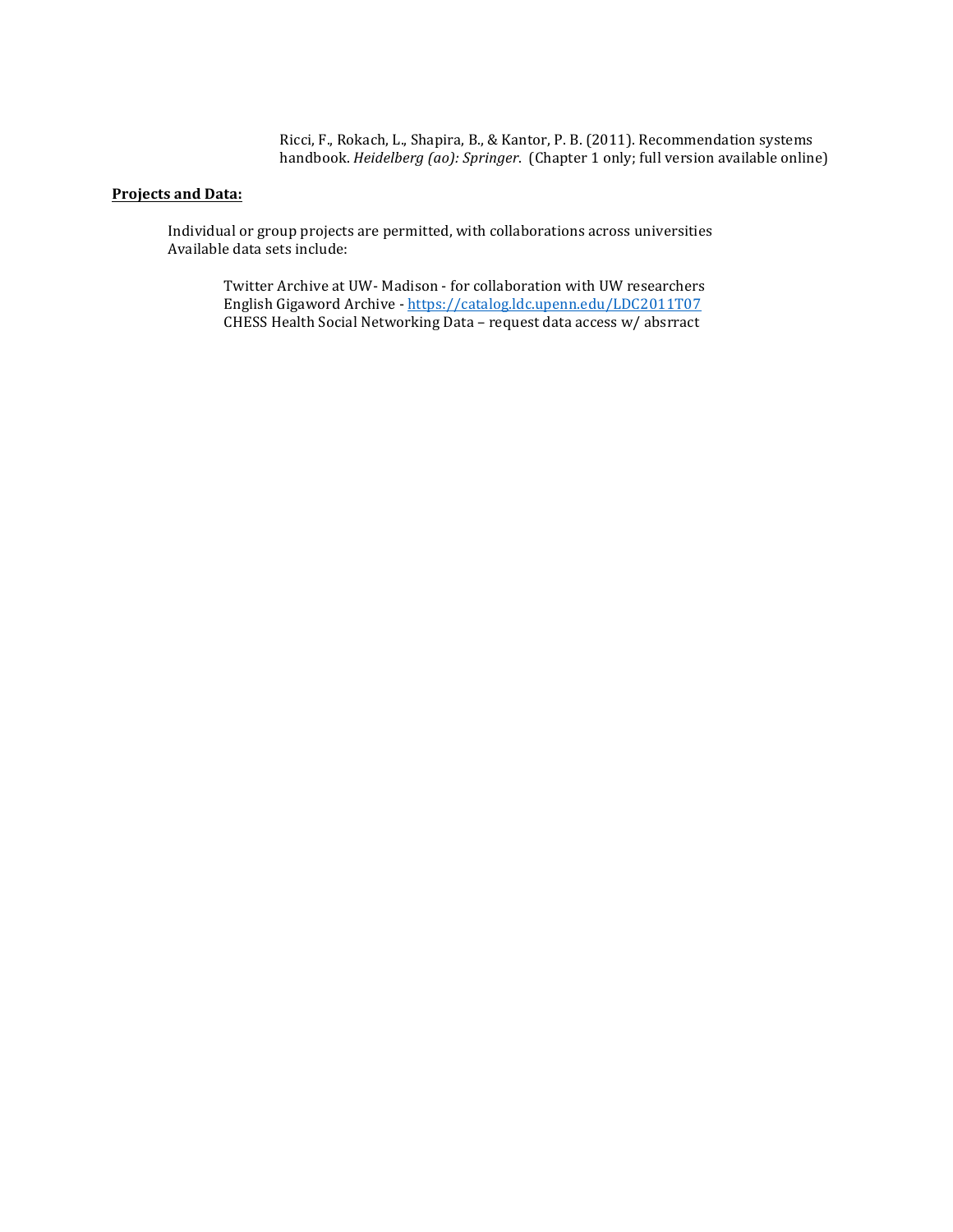Ricci, F., Rokach, L., Shapira, B., & Kantor, P. B. (2011). Recommendation systems handbook. *Heidelberg* (ao): Springer. (Chapter 1 only; full version available online)

# **Projects and Data:**

Individual or group projects are permitted, with collaborations across universities Available data sets include:

Twitter Archive at UW- Madison - for collaboration with UW researchers English Gigaword Archive - https://catalog.ldc.upenn.edu/LDC2011T07 CHESS Health Social Networking Data - request data access w/ absrract